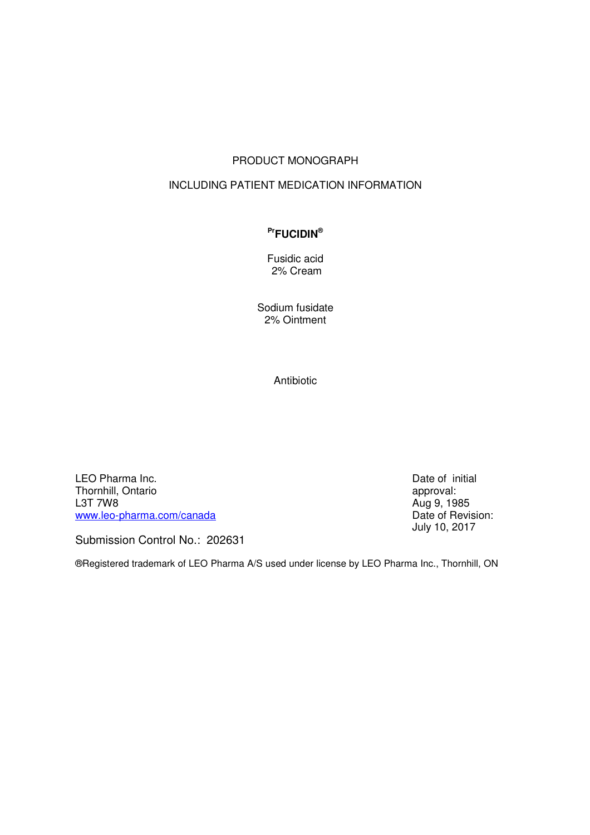# PRODUCT MONOGRAPH

### INCLUDING PATIENT MEDICATION INFORMATION

### **PrFUCIDIN®**

Fusidic acid 2% Cream

Sodium fusidate 2% Ointment

Antibiotic

LEO Pharma Inc. Thornhill, Ontario L3T 7W8 [www.leo-pharma.com/canada](http://www.leo-pharma.com/canada)

Date of initial approval: Aug 9, 1985 Date of Revision: July 10, 2017

Submission Control No.: 202631

®Registered trademark of LEO Pharma A/S used under license by LEO Pharma Inc., Thornhill, ON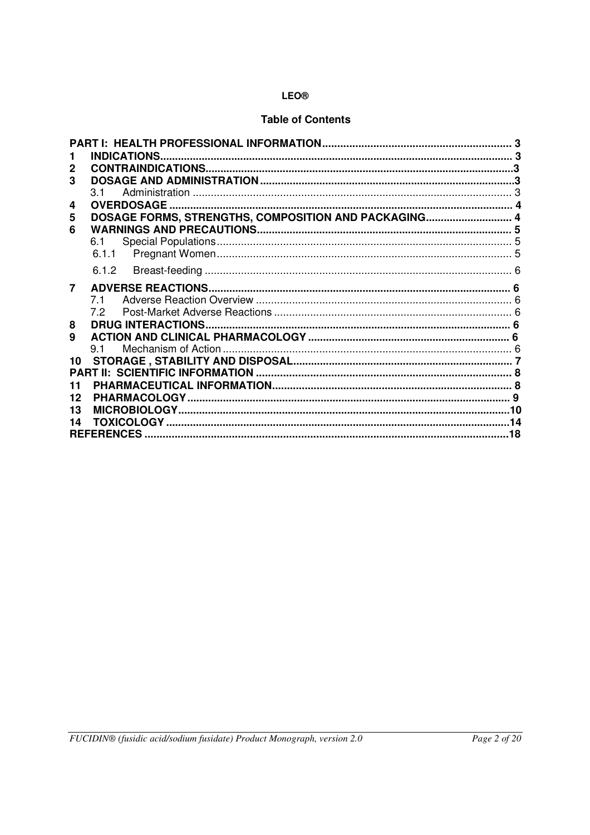# **Table of Contents**

|    | <b>INDICATIONS</b>                                   |     |  |  |  |  |
|----|------------------------------------------------------|-----|--|--|--|--|
| 2  |                                                      |     |  |  |  |  |
| 3  |                                                      |     |  |  |  |  |
|    | 31                                                   |     |  |  |  |  |
| 4  | <b>OVERDOSAGE</b>                                    |     |  |  |  |  |
| 5  | DOSAGE FORMS, STRENGTHS, COMPOSITION AND PACKAGING 4 |     |  |  |  |  |
| 6  |                                                      |     |  |  |  |  |
|    | 6.1                                                  |     |  |  |  |  |
|    | 6.1.1                                                |     |  |  |  |  |
|    | 6.1.2                                                |     |  |  |  |  |
| 7  |                                                      |     |  |  |  |  |
|    | 71                                                   |     |  |  |  |  |
|    | 72                                                   |     |  |  |  |  |
| 8  |                                                      |     |  |  |  |  |
| 9  |                                                      |     |  |  |  |  |
|    | 91                                                   |     |  |  |  |  |
| 10 |                                                      |     |  |  |  |  |
|    |                                                      |     |  |  |  |  |
| 11 |                                                      |     |  |  |  |  |
| 12 |                                                      |     |  |  |  |  |
| 13 |                                                      | 10  |  |  |  |  |
| 14 | <b>TOXICOLOGY.</b>                                   | .14 |  |  |  |  |
|    | <b>REFERENCES.</b><br>.18                            |     |  |  |  |  |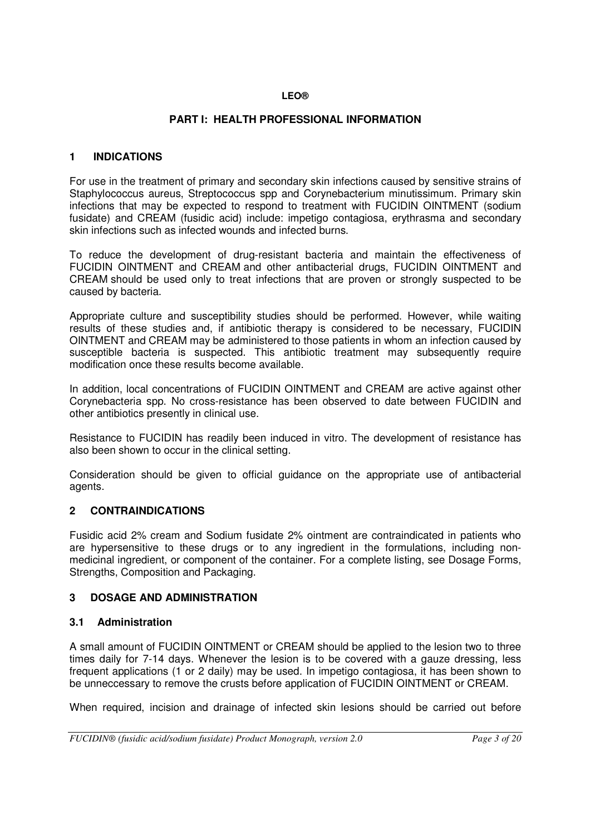# <span id="page-2-0"></span>**PART I: HEALTH PROFESSIONAL INFORMATION**

# <span id="page-2-1"></span>**1 INDICATIONS**

For use in the treatment of primary and secondary skin infections caused by sensitive strains of Staphylococcus aureus, Streptococcus spp and Corynebacterium minutissimum. Primary skin infections that may be expected to respond to treatment with FUCIDIN OINTMENT (sodium fusidate) and CREAM (fusidic acid) include: impetigo contagiosa, erythrasma and secondary skin infections such as infected wounds and infected burns.

To reduce the development of drug-resistant bacteria and maintain the effectiveness of FUCIDIN OINTMENT and CREAM and other antibacterial drugs, FUCIDIN OINTMENT and CREAM should be used only to treat infections that are proven or strongly suspected to be caused by bacteria.

Appropriate culture and susceptibility studies should be performed. However, while waiting results of these studies and, if antibiotic therapy is considered to be necessary, FUCIDIN OINTMENT and CREAM may be administered to those patients in whom an infection caused by susceptible bacteria is suspected. This antibiotic treatment may subsequently require modification once these results become available.

In addition, local concentrations of FUCIDIN OINTMENT and CREAM are active against other Corynebacteria spp. No cross-resistance has been observed to date between FUCIDIN and other antibiotics presently in clinical use.

Resistance to FUCIDIN has readily been induced in vitro. The development of resistance has also been shown to occur in the clinical setting.

Consideration should be given to official guidance on the appropriate use of antibacterial agents.

### <span id="page-2-2"></span>**2 CONTRAINDICATIONS**

Fusidic acid 2% cream and Sodium fusidate 2% ointment are contraindicated in patients who are hypersensitive to these drugs or to any ingredient in the formulations, including nonmedicinal ingredient, or component of the container. For a complete listing, see Dosage Forms, Strengths, Composition and Packaging.

### <span id="page-2-3"></span>**3 DOSAGE AND ADMINISTRATION**

### <span id="page-2-4"></span>**3.1 Administration**

A small amount of FUCIDIN OINTMENT or CREAM should be applied to the lesion two to three times daily for 7-14 days. Whenever the lesion is to be covered with a gauze dressing, less frequent applications (1 or 2 daily) may be used. In impetigo contagiosa, it has been shown to be unneccessary to remove the crusts before application of FUCIDIN OINTMENT or CREAM.

When required, incision and drainage of infected skin lesions should be carried out before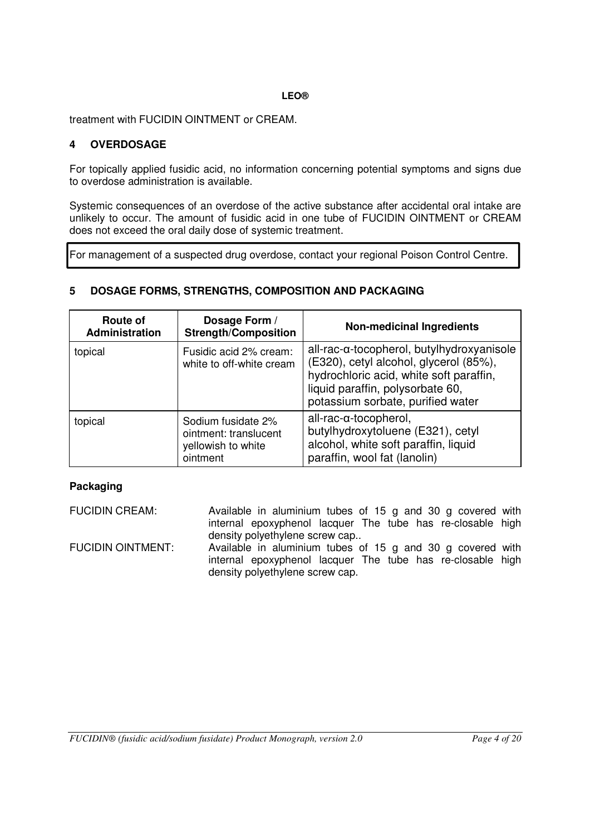treatment with FUCIDIN OINTMENT or CREAM.

# <span id="page-3-0"></span>**4 OVERDOSAGE**

For topically applied fusidic acid, no information concerning potential symptoms and signs due to overdose administration is available.

Systemic consequences of an overdose of the active substance after accidental oral intake are unlikely to occur. The amount of fusidic acid in one tube of FUCIDIN OINTMENT or CREAM does not exceed the oral daily dose of systemic treatment.

For management of a suspected drug overdose, contact your regional Poison Control Centre.

# <span id="page-3-1"></span>**5 DOSAGE FORMS, STRENGTHS, COMPOSITION AND PACKAGING**

| Route of<br>Administration                                    | Dosage Form /<br><b>Strength/Composition</b>                                  | <b>Non-medicinal Ingredients</b>                                                                                                                                                                        |
|---------------------------------------------------------------|-------------------------------------------------------------------------------|---------------------------------------------------------------------------------------------------------------------------------------------------------------------------------------------------------|
| Fusidic acid 2% cream:<br>topical<br>white to off-white cream |                                                                               | all-rac-α-tocopherol, butylhydroxyanisole<br>(E320), cetyl alcohol, glycerol (85%),<br>hydrochloric acid, white soft paraffin,<br>liquid paraffin, polysorbate 60,<br>potassium sorbate, purified water |
| topical                                                       | Sodium fusidate 2%<br>ointment: translucent<br>yellowish to white<br>ointment | $all$ -rac- $\alpha$ -tocopherol,<br>butylhydroxytoluene (E321), cetyl<br>alcohol, white soft paraffin, liquid<br>paraffin, wool fat (lanolin)                                                          |

### **Packaging**

FUCIDIN CREAM: Available in aluminium tubes of 15 g and 30 g covered with internal epoxyphenol lacquer The tube has re-closable high density polyethylene screw cap.. FUCIDIN OINTMENT: Available in aluminium tubes of 15 g and 30 g covered with internal epoxyphenol lacquer The tube has re-closable high density polyethylene screw cap.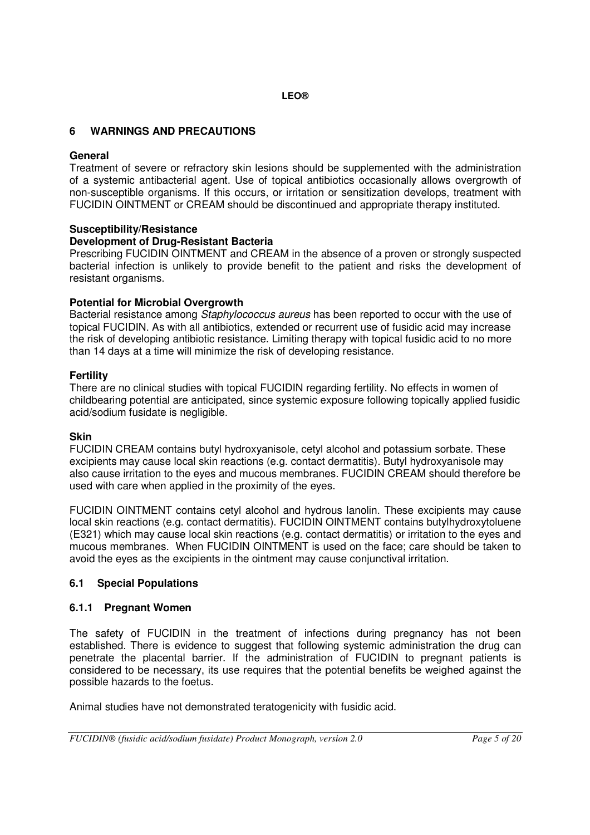# <span id="page-4-0"></span>**6 WARNINGS AND PRECAUTIONS**

### **General**

Treatment of severe or refractory skin lesions should be supplemented with the administration of a systemic antibacterial agent. Use of topical antibiotics occasionally allows overgrowth of non-susceptible organisms. If this occurs, or irritation or sensitization develops, treatment with FUCIDIN OINTMENT or CREAM should be discontinued and appropriate therapy instituted.

### **Susceptibility/Resistance**

### **Development of Drug-Resistant Bacteria**

Prescribing FUCIDIN OINTMENT and CREAM in the absence of a proven or strongly suspected bacterial infection is unlikely to provide benefit to the patient and risks the development of resistant organisms.

### **Potential for Microbial Overgrowth**

Bacterial resistance among *Staphylococcus aureus* has been reported to occur with the use of topical FUCIDIN. As with all antibiotics, extended or recurrent use of fusidic acid may increase the risk of developing antibiotic resistance. Limiting therapy with topical fusidic acid to no more than 14 days at a time will minimize the risk of developing resistance.

### **Fertility**

There are no clinical studies with topical FUCIDIN regarding fertility. No effects in women of childbearing potential are anticipated, since systemic exposure following topically applied fusidic acid/sodium fusidate is negligible.

#### **Skin**

FUCIDIN CREAM contains butyl hydroxyanisole, cetyl alcohol and potassium sorbate. These excipients may cause local skin reactions (e.g. contact dermatitis). Butyl hydroxyanisole may also cause irritation to the eyes and mucous membranes. FUCIDIN CREAM should therefore be used with care when applied in the proximity of the eyes.

FUCIDIN OINTMENT contains cetyl alcohol and hydrous lanolin. These excipients may cause local skin reactions (e.g. contact dermatitis). FUCIDIN OINTMENT contains butylhydroxytoluene (E321) which may cause local skin reactions (e.g. contact dermatitis) or irritation to the eyes and mucous membranes. When FUCIDIN OINTMENT is used on the face; care should be taken to avoid the eyes as the excipients in the ointment may cause conjunctival irritation.

### <span id="page-4-1"></span>**6.1 Special Populations**

#### <span id="page-4-2"></span>**6.1.1 Pregnant Women**

The safety of FUCIDIN in the treatment of infections during pregnancy has not been established. There is evidence to suggest that following systemic administration the drug can penetrate the placental barrier. If the administration of FUCIDIN to pregnant patients is considered to be necessary, its use requires that the potential benefits be weighed against the possible hazards to the foetus.

Animal studies have not demonstrated teratogenicity with fusidic acid.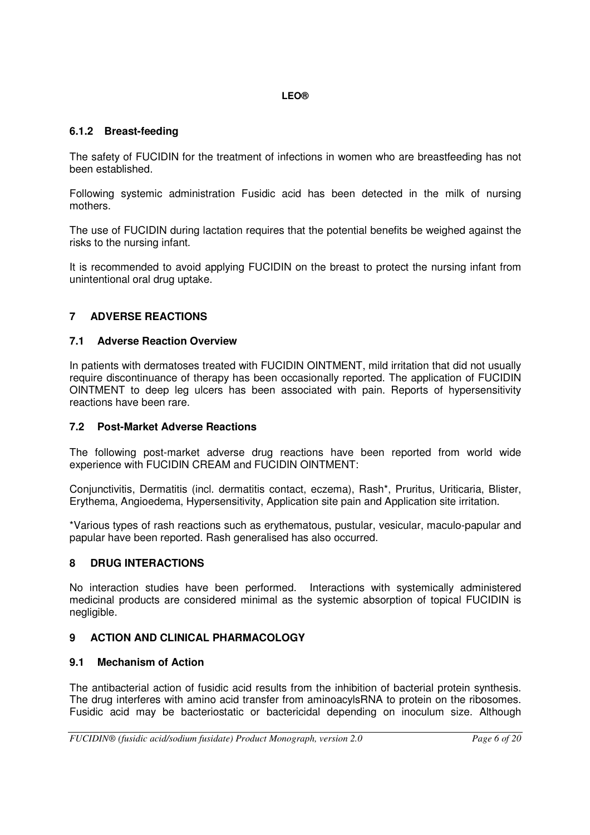# <span id="page-5-0"></span>**6.1.2 Breast-feeding**

The safety of FUCIDIN for the treatment of infections in women who are breastfeeding has not been established.

Following systemic administration Fusidic acid has been detected in the milk of nursing mothers.

The use of FUCIDIN during lactation requires that the potential benefits be weighed against the risks to the nursing infant.

It is recommended to avoid applying FUCIDIN on the breast to protect the nursing infant from unintentional oral drug uptake.

# <span id="page-5-1"></span>**7 ADVERSE REACTIONS**

### <span id="page-5-2"></span>**7.1 Adverse Reaction Overview**

In patients with dermatoses treated with FUCIDIN OINTMENT, mild irritation that did not usually require discontinuance of therapy has been occasionally reported. The application of FUCIDIN OINTMENT to deep leg ulcers has been associated with pain. Reports of hypersensitivity reactions have been rare.

### <span id="page-5-3"></span>**7.2 Post-Market Adverse Reactions**

The following post-market adverse drug reactions have been reported from world wide experience with FUCIDIN CREAM and FUCIDIN OINTMENT:

Conjunctivitis, Dermatitis (incl. dermatitis contact, eczema), Rash\*, Pruritus, Uriticaria, Blister, Erythema, Angioedema, Hypersensitivity, Application site pain and Application site irritation.

\*Various types of rash reactions such as erythematous, pustular, vesicular, maculo-papular and papular have been reported. Rash generalised has also occurred.

### <span id="page-5-4"></span>**8 DRUG INTERACTIONS**

No interaction studies have been performed. Interactions with systemically administered medicinal products are considered minimal as the systemic absorption of topical FUCIDIN is negligible.

### <span id="page-5-5"></span>**9 ACTION AND CLINICAL PHARMACOLOGY**

### <span id="page-5-6"></span>**9.1 Mechanism of Action**

The antibacterial action of fusidic acid results from the inhibition of bacterial protein synthesis. The drug interferes with amino acid transfer from aminoacylsRNA to protein on the ribosomes. Fusidic acid may be bacteriostatic or bactericidal depending on inoculum size. Although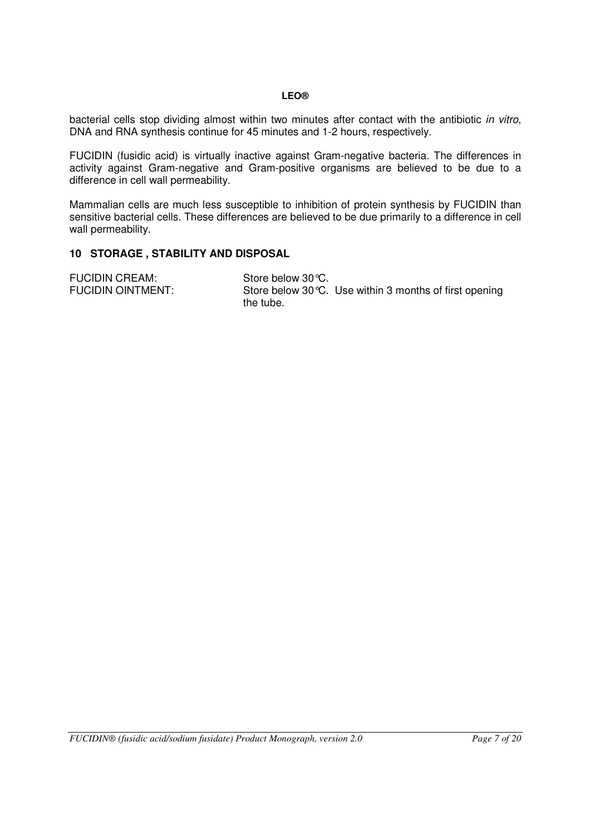bacterial cells stop dividing almost within two minutes after contact with the antibiotic in vitro, DNA and RNA synthesis continue for 45 minutes and 1-2 hours, respectively.

FUCIDIN (fusidic acid) is virtually inactive against Gram-negative bacteria. The differences in activity against Gram-negative and Gram-positive organisms are believed to be due to a difference in cell wall permeability.

Mammalian cells are much less susceptible to inhibition of protein synthesis by FUCIDIN than sensitive bacterial cells. These differences are believed to be due primarily to a difference in cell wall permeability.

### <span id="page-6-0"></span>**10 STORAGE , STABILITY AND DISPOSAL**

FUCIDIN CREAM: Store below 30 °C.<br>FUCIDIN OINTMENT: Store below 30 °C. Store below 30 $°C$ . Use within 3 months of first opening the tube.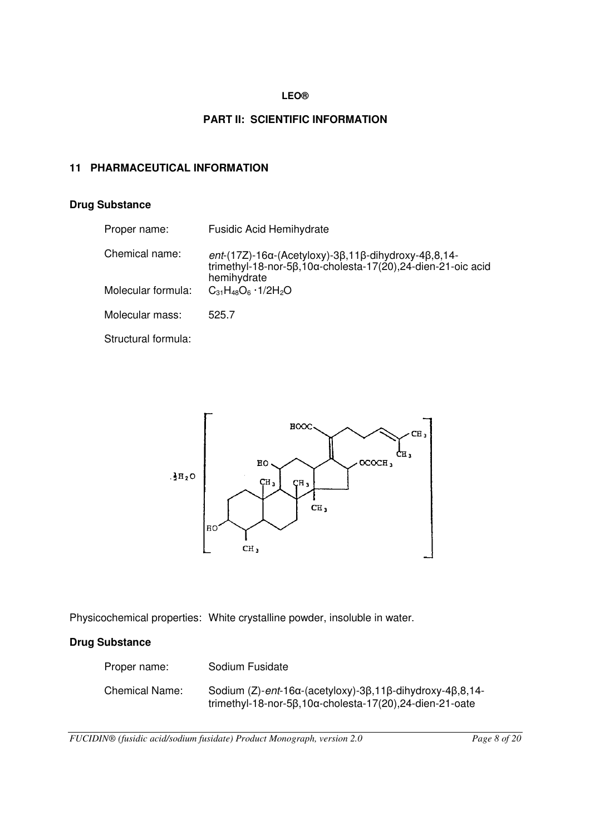# <span id="page-7-0"></span>**PART II: SCIENTIFIC INFORMATION**

### <span id="page-7-1"></span>**11 PHARMACEUTICAL INFORMATION**

# **Drug Substance**

| Proper name:        | <b>Fusidic Acid Hemihydrate</b>                                                                                                                                     |
|---------------------|---------------------------------------------------------------------------------------------------------------------------------------------------------------------|
| Chemical name:      | $ent-(17Z)-16\alpha$ (Acetyloxy)-3 $\beta$ , 11 $\beta$ -dihydroxy-4 $\beta$ , 8, 14-<br>trimethyl-18-nor-5β,10α-cholesta-17(20),24-dien-21-oic acid<br>hemihydrate |
| Molecular formula:  | $C_{31}H_{48}O_6 \cdot 1/2H_2O$                                                                                                                                     |
| Molecular mass:     | 525.7                                                                                                                                                               |
| Structural formula: |                                                                                                                                                                     |



Physicochemical properties: White crystalline powder, insoluble in water.

# **Drug Substance**

| Proper name:   | Sodium Fusidate                                                                                                                                                          |
|----------------|--------------------------------------------------------------------------------------------------------------------------------------------------------------------------|
| Chemical Name: | Sodium $(Z)$ -ent-16 $\alpha$ -(acetyloxy)-3 $\beta$ ,11 $\beta$ -dihydroxy-4 $\beta$ ,8,14-<br>trimethyl-18-nor-5 $\beta$ ,10 $\alpha$ -cholesta-17(20),24-dien-21-oate |

*FUCIDIN® (fusidic acid/sodium fusidate) Product Monograph, version 2.0 Page 8 of 20*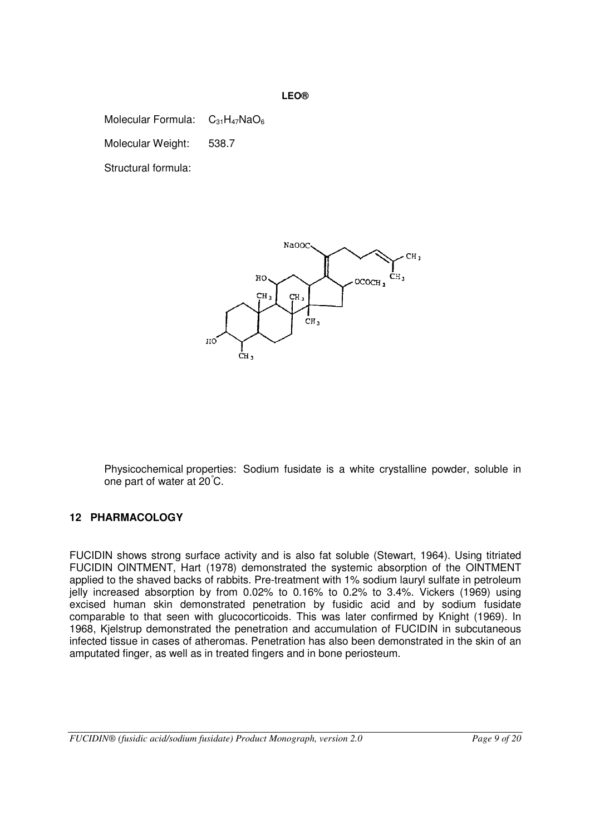Molecular Formula:  $C_{31}H_{47}NaO_6$ 

Molecular Weight:538.7

Structural formula:



Physicochemical properties: Sodium fusidate is a white crystalline powder, soluble in one part of water at 20°C.

# <span id="page-8-0"></span>**12 PHARMACOLOGY**

FUCIDIN shows strong surface activity and is also fat soluble (Stewart, 1964). Using titriated FUCIDIN OINTMENT, Hart (1978) demonstrated the systemic absorption of the OINTMENT applied to the shaved backs of rabbits. Pre-treatment with 1% sodium lauryl sulfate in petroleum jelly increased absorption by from 0.02% to 0.16% to 0.2% to 3.4%. Vickers (1969) using excised human skin demonstrated penetration by fusidic acid and by sodium fusidate comparable to that seen with glucocorticoids. This was later confirmed by Knight (1969). In 1968, Kjelstrup demonstrated the penetration and accumulation of FUCIDIN in subcutaneous infected tissue in cases of atheromas. Penetration has also been demonstrated in the skin of an amputated finger, as well as in treated fingers and in bone periosteum.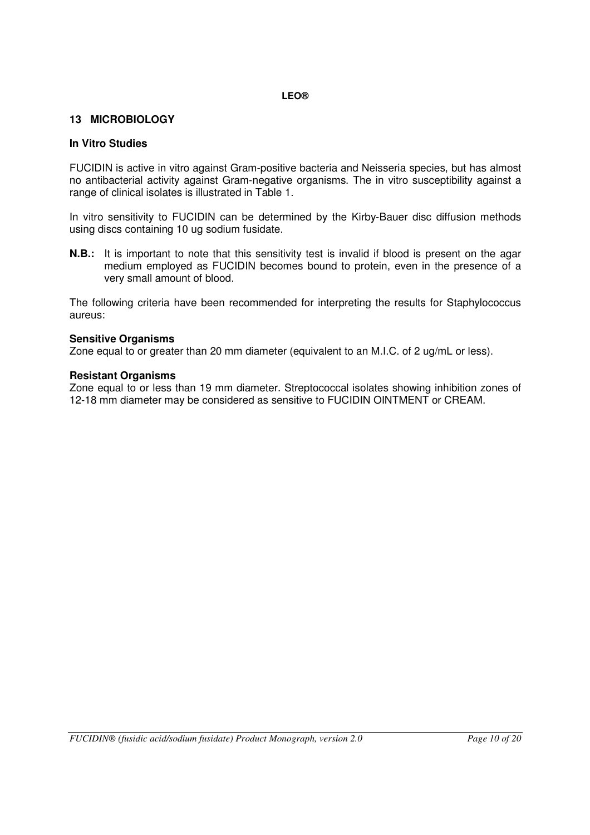# <span id="page-9-0"></span>**13 MICROBIOLOGY**

### **In Vitro Studies**

FUCIDIN is active in vitro against Gram-positive bacteria and Neisseria species, but has almost no antibacterial activity against Gram-negative organisms. The in vitro susceptibility against a range of clinical isolates is illustrated in Table 1.

In vitro sensitivity to FUCIDIN can be determined by the Kirby-Bauer disc diffusion methods using discs containing 10 ug sodium fusidate.

**N.B.:** It is important to note that this sensitivity test is invalid if blood is present on the agar medium employed as FUCIDIN becomes bound to protein, even in the presence of a very small amount of blood.

The following criteria have been recommended for interpreting the results for Staphylococcus aureus:

#### **Sensitive Organisms**

Zone equal to or greater than 20 mm diameter (equivalent to an M.I.C. of 2 ug/mL or less).

### **Resistant Organisms**

Zone equal to or less than 19 mm diameter. Streptococcal isolates showing inhibition zones of 12-18 mm diameter may be considered as sensitive to FUCIDIN OINTMENT or CREAM.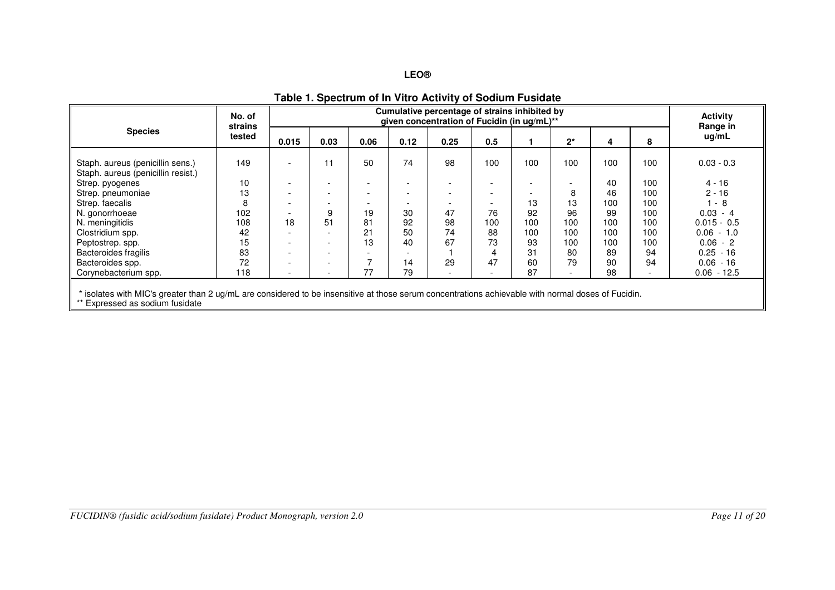|                                                                                                                                                                                    | No. of<br>strains<br>tested | Cumulative percentage of strains inhibited by<br>given concentration of Fucidin (in ug/mL)** |                          |                          |                          |                          |                          |                          |       |     | <b>Activity</b><br>Range in |               |
|------------------------------------------------------------------------------------------------------------------------------------------------------------------------------------|-----------------------------|----------------------------------------------------------------------------------------------|--------------------------|--------------------------|--------------------------|--------------------------|--------------------------|--------------------------|-------|-----|-----------------------------|---------------|
| <b>Species</b>                                                                                                                                                                     |                             | 0.015                                                                                        | 0.03                     | 0.06                     | 0.12                     | 0.25                     | 0.5                      |                          | $2^*$ | 4   | 8                           | ug/mL         |
| Staph. aureus (penicillin sens.)<br>Staph. aureus (penicillin resist.)                                                                                                             | 149                         | $\overline{\phantom{a}}$                                                                     | 11                       | 50                       | 74                       | 98                       | 100                      | 100                      | 100   | 100 | 100                         | $0.03 - 0.3$  |
| Strep. pyogenes                                                                                                                                                                    | 10                          | $\overline{\phantom{a}}$                                                                     |                          |                          | $\overline{\phantom{a}}$ |                          | $\overline{\phantom{a}}$ |                          |       | 40  | 100                         | $4 - 16$      |
| Strep. pneumoniae                                                                                                                                                                  | 13                          | $\overline{\phantom{0}}$                                                                     | $\overline{\phantom{a}}$ | $\overline{\phantom{0}}$ | $\overline{\phantom{0}}$ | $\overline{\phantom{a}}$ | $\overline{\phantom{a}}$ | $\overline{\phantom{0}}$ | 8     | 46  | 100                         | $2 - 16$      |
| Strep. faecalis                                                                                                                                                                    | 8                           | $\overline{\phantom{a}}$                                                                     |                          | $\overline{\phantom{a}}$ | $\overline{\phantom{0}}$ | $\overline{\phantom{a}}$ | $\overline{\phantom{0}}$ | 13                       | 13    | 100 | 100                         | $1 - 8$       |
| N. gonorrhoeae                                                                                                                                                                     | 102                         | $\overline{\phantom{a}}$                                                                     | 9                        | 19                       | 30                       | 47                       | 76                       | 92                       | 96    | 99  | 100                         | $0.03 - 4$    |
| N. meningitidis                                                                                                                                                                    | 108                         | 18                                                                                           | 51                       | 81                       | 92                       | 98                       | 100                      | 100                      | 100   | 100 | 100                         | $0.015 - 0.5$ |
| Clostridium spp.                                                                                                                                                                   | 42                          | $\overline{\phantom{a}}$                                                                     |                          | 21                       | 50                       | 74                       | 88                       | 100                      | 100   | 100 | 100                         | $0.06 - 1.0$  |
| Peptostrep. spp.                                                                                                                                                                   | 15                          | $\overline{\phantom{a}}$                                                                     |                          | 13                       | 40                       | 67                       | 73                       | 93                       | 100   | 100 | 100                         | $0.06 - 2$    |
| Bacteroides fragilis                                                                                                                                                               | 83                          | $\overline{\phantom{a}}$                                                                     |                          |                          |                          |                          |                          | 31                       | 80    | 89  | 94                          | $0.25 - 16$   |
| Bacteroides spp.                                                                                                                                                                   | 72                          | $\overline{\phantom{a}}$                                                                     |                          |                          | 14                       | 29                       | 47                       | 60                       | 79    | 90  | 94                          | $0.06 - 16$   |
| Corynebacterium spp.                                                                                                                                                               | 118                         | $\overline{\phantom{a}}$                                                                     |                          | 77                       | 79                       | $\overline{\phantom{a}}$ |                          | 87                       |       | 98  | $\overline{\phantom{a}}$    | $0.06 - 12.5$ |
| * isolates with MIC's greater than 2 ug/mL are considered to be insensitive at those serum concentrations achievable with normal doses of Fucidin.<br>Expressed as sodium fusidate |                             |                                                                                              |                          |                          |                          |                          |                          |                          |       |     |                             |               |

### **Table 1. Spectrum of In Vitro Activity of Sodium Fusidate**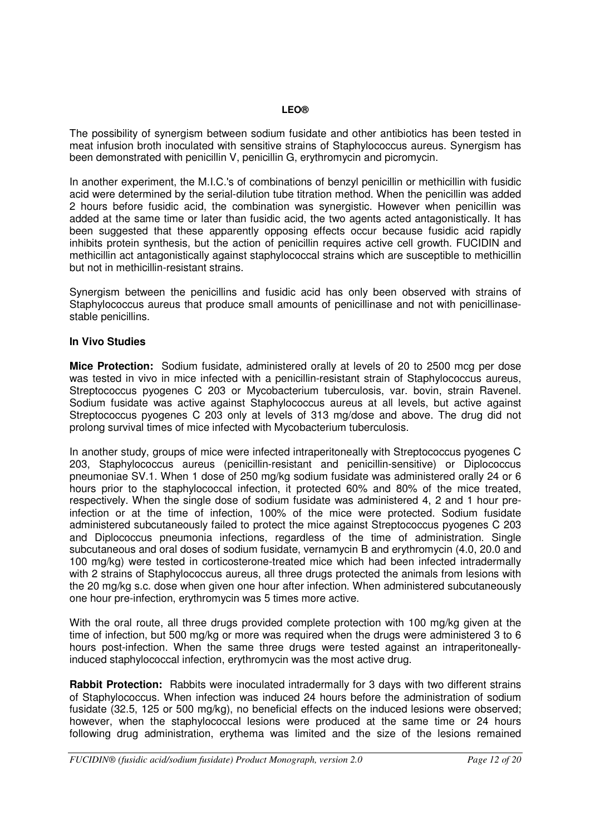The possibility of synergism between sodium fusidate and other antibiotics has been tested in meat infusion broth inoculated with sensitive strains of Staphylococcus aureus. Synergism has been demonstrated with penicillin V, penicillin G, erythromycin and picromycin.

In another experiment, the M.I.C.'s of combinations of benzyl penicillin or methicillin with fusidic acid were determined by the serial-dilution tube titration method. When the penicillin was added 2 hours before fusidic acid, the combination was synergistic. However when penicillin was added at the same time or later than fusidic acid, the two agents acted antagonistically. It has been suggested that these apparently opposing effects occur because fusidic acid rapidly inhibits protein synthesis, but the action of penicillin requires active cell growth. FUCIDIN and methicillin act antagonistically against staphylococcal strains which are susceptible to methicillin but not in methicillin-resistant strains.

Synergism between the penicillins and fusidic acid has only been observed with strains of Staphylococcus aureus that produce small amounts of penicillinase and not with penicillinasestable penicillins.

### **In Vivo Studies**

**Mice Protection:** Sodium fusidate, administered orally at levels of 20 to 2500 mcg per dose was tested in vivo in mice infected with a penicillin-resistant strain of Staphylococcus aureus, Streptococcus pyogenes C 203 or Mycobacterium tuberculosis, var. bovin, strain Ravenel. Sodium fusidate was active against Staphylococcus aureus at all levels, but active against Streptococcus pyogenes C 203 only at levels of 313 mg/dose and above. The drug did not prolong survival times of mice infected with Mycobacterium tuberculosis.

In another study, groups of mice were infected intraperitoneally with Streptococcus pyogenes C 203, Staphylococcus aureus (penicillin-resistant and penicillin-sensitive) or Diplococcus pneumoniae SV.1. When 1 dose of 250 mg/kg sodium fusidate was administered orally 24 or 6 hours prior to the staphylococcal infection, it protected 60% and 80% of the mice treated, respectively. When the single dose of sodium fusidate was administered 4, 2 and 1 hour preinfection or at the time of infection, 100% of the mice were protected. Sodium fusidate administered subcutaneously failed to protect the mice against Streptococcus pyogenes C 203 and Diplococcus pneumonia infections, regardless of the time of administration. Single subcutaneous and oral doses of sodium fusidate, vernamycin B and erythromycin (4.0, 20.0 and 100 mg/kg) were tested in corticosterone-treated mice which had been infected intradermally with 2 strains of Staphylococcus aureus, all three drugs protected the animals from lesions with the 20 mg/kg s.c. dose when given one hour after infection. When administered subcutaneously one hour pre-infection, erythromycin was 5 times more active.

With the oral route, all three drugs provided complete protection with 100 mg/kg given at the time of infection, but 500 mg/kg or more was required when the drugs were administered 3 to 6 hours post-infection. When the same three drugs were tested against an intraperitoneallyinduced staphylococcal infection, erythromycin was the most active drug.

**Rabbit Protection:** Rabbits were inoculated intradermally for 3 days with two different strains of Staphylococcus. When infection was induced 24 hours before the administration of sodium fusidate (32.5, 125 or 500 mg/kg), no beneficial effects on the induced lesions were observed; however, when the staphylococcal lesions were produced at the same time or 24 hours following drug administration, erythema was limited and the size of the lesions remained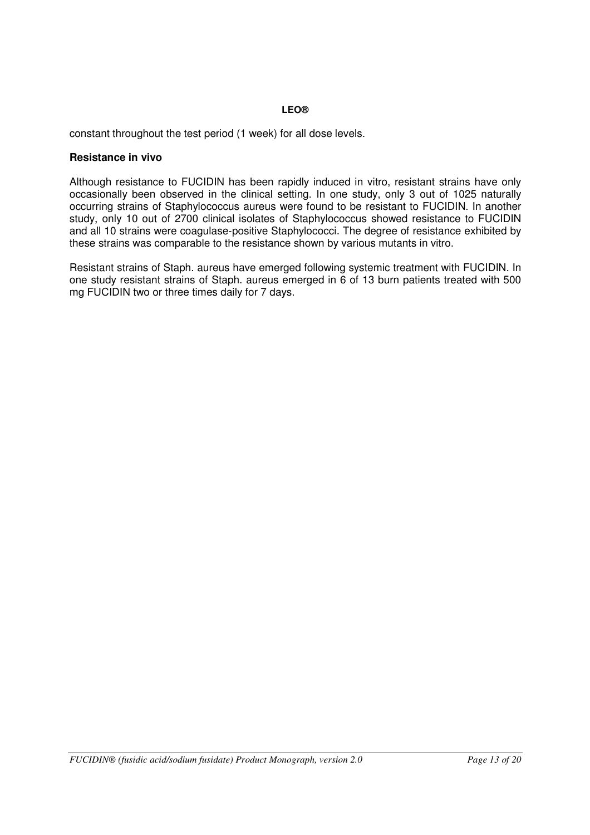constant throughout the test period (1 week) for all dose levels.

### **Resistance in vivo**

Although resistance to FUCIDIN has been rapidly induced in vitro, resistant strains have only occasionally been observed in the clinical setting. In one study, only 3 out of 1025 naturally occurring strains of Staphylococcus aureus were found to be resistant to FUCIDIN. In another study, only 10 out of 2700 clinical isolates of Staphylococcus showed resistance to FUCIDIN and all 10 strains were coagulase-positive Staphylococci. The degree of resistance exhibited by these strains was comparable to the resistance shown by various mutants in vitro.

Resistant strains of Staph. aureus have emerged following systemic treatment with FUCIDIN. In one study resistant strains of Staph. aureus emerged in 6 of 13 burn patients treated with 500 mg FUCIDIN two or three times daily for 7 days.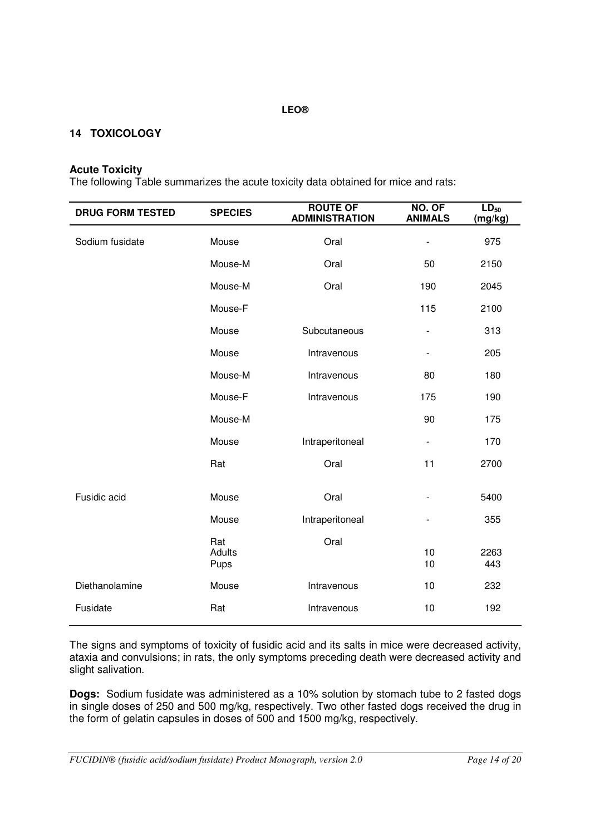# <span id="page-13-0"></span>**14 TOXICOLOGY**

#### **Acute Toxicity**

The following Table summarizes the acute toxicity data obtained for mice and rats:

| <b>DRUG FORM TESTED</b> | <b>SPECIES</b>               | <b>ROUTE OF</b><br><b>ADMINISTRATION</b> | NO. OF<br><b>ANIMALS</b>     | $LD_{50}$<br>(mg/kg) |
|-------------------------|------------------------------|------------------------------------------|------------------------------|----------------------|
| Sodium fusidate         | Mouse                        | Oral                                     | $\qquad \qquad \blacksquare$ | 975                  |
|                         | Mouse-M                      | Oral                                     | 50                           | 2150                 |
|                         | Mouse-M                      | Oral                                     | 190                          | 2045                 |
|                         | Mouse-F                      |                                          | 115                          | 2100                 |
|                         | Mouse                        | Subcutaneous                             | $\blacksquare$               | 313                  |
|                         | Mouse                        | Intravenous                              |                              | 205                  |
|                         | Mouse-M                      | Intravenous                              | 80                           | 180                  |
|                         | Mouse-F                      | Intravenous                              | 175                          | 190                  |
|                         | Mouse-M                      |                                          | 90                           | 175                  |
|                         | Mouse                        | Intraperitoneal                          | $\overline{\phantom{a}}$     | 170                  |
|                         | Rat                          | Oral                                     | 11                           | 2700                 |
| Fusidic acid            | Mouse                        | Oral                                     |                              | 5400                 |
|                         | Mouse                        | Intraperitoneal                          | $\qquad \qquad \blacksquare$ | 355                  |
|                         | Rat<br><b>Adults</b><br>Pups | Oral                                     | 10<br>10                     | 2263<br>443          |
| Diethanolamine          | Mouse                        | Intravenous                              | 10                           | 232                  |
| Fusidate                | Rat                          | Intravenous                              | 10                           | 192                  |

The signs and symptoms of toxicity of fusidic acid and its salts in mice were decreased activity, ataxia and convulsions; in rats, the only symptoms preceding death were decreased activity and slight salivation.

**Dogs:** Sodium fusidate was administered as a 10% solution by stomach tube to 2 fasted dogs in single doses of 250 and 500 mg/kg, respectively. Two other fasted dogs received the drug in the form of gelatin capsules in doses of 500 and 1500 mg/kg, respectively.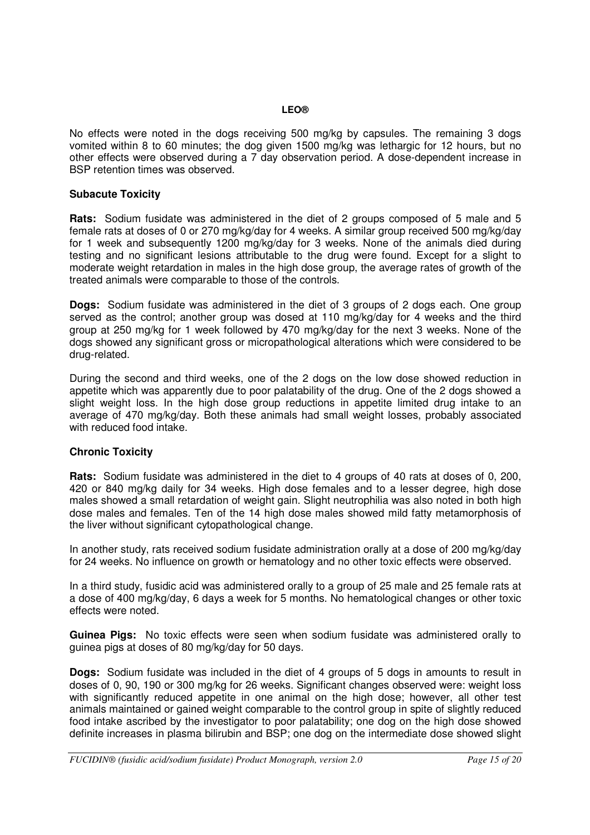No effects were noted in the dogs receiving 500 mg/kg by capsules. The remaining 3 dogs vomited within 8 to 60 minutes; the dog given 1500 mg/kg was lethargic for 12 hours, but no other effects were observed during a 7 day observation period. A dose-dependent increase in BSP retention times was observed.

### **Subacute Toxicity**

**Rats:** Sodium fusidate was administered in the diet of 2 groups composed of 5 male and 5 female rats at doses of 0 or 270 mg/kg/day for 4 weeks. A similar group received 500 mg/kg/day for 1 week and subsequently 1200 mg/kg/day for 3 weeks. None of the animals died during testing and no significant lesions attributable to the drug were found. Except for a slight to moderate weight retardation in males in the high dose group, the average rates of growth of the treated animals were comparable to those of the controls.

**Dogs:** Sodium fusidate was administered in the diet of 3 groups of 2 dogs each. One group served as the control; another group was dosed at 110 mg/kg/day for 4 weeks and the third group at 250 mg/kg for 1 week followed by 470 mg/kg/day for the next 3 weeks. None of the dogs showed any significant gross or micropathological alterations which were considered to be drug-related.

During the second and third weeks, one of the 2 dogs on the low dose showed reduction in appetite which was apparently due to poor palatability of the drug. One of the 2 dogs showed a slight weight loss. In the high dose group reductions in appetite limited drug intake to an average of 470 mg/kg/day. Both these animals had small weight losses, probably associated with reduced food intake.

### **Chronic Toxicity**

**Rats:** Sodium fusidate was administered in the diet to 4 groups of 40 rats at doses of 0, 200, 420 or 840 mg/kg daily for 34 weeks. High dose females and to a lesser degree, high dose males showed a small retardation of weight gain. Slight neutrophilia was also noted in both high dose males and females. Ten of the 14 high dose males showed mild fatty metamorphosis of the liver without significant cytopathological change.

In another study, rats received sodium fusidate administration orally at a dose of 200 mg/kg/day for 24 weeks. No influence on growth or hematology and no other toxic effects were observed.

In a third study, fusidic acid was administered orally to a group of 25 male and 25 female rats at a dose of 400 mg/kg/day, 6 days a week for 5 months. No hematological changes or other toxic effects were noted.

**Guinea Pigs:** No toxic effects were seen when sodium fusidate was administered orally to guinea pigs at doses of 80 mg/kg/day for 50 days.

**Dogs:** Sodium fusidate was included in the diet of 4 groups of 5 dogs in amounts to result in doses of 0, 90, 190 or 300 mg/kg for 26 weeks. Significant changes observed were: weight loss with significantly reduced appetite in one animal on the high dose; however, all other test animals maintained or gained weight comparable to the control group in spite of slightly reduced food intake ascribed by the investigator to poor palatability; one dog on the high dose showed definite increases in plasma bilirubin and BSP; one dog on the intermediate dose showed slight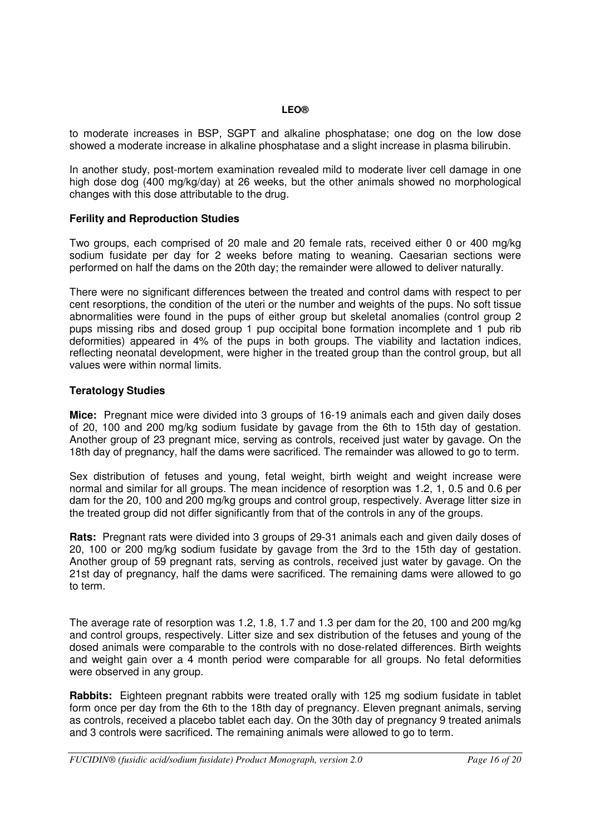to moderate increases in BSP, SGPT and alkaline phosphatase; one dog on the low dose showed a moderate increase in alkaline phosphatase and a slight increase in plasma bilirubin.

In another study, post-mortem examination revealed mild to moderate liver cell damage in one high dose dog (400 mg/kg/day) at 26 weeks, but the other animals showed no morphological changes with this dose attributable to the drug.

### **Ferility and Reproduction Studies**

Two groups, each comprised of 20 male and 20 female rats, received either 0 or 400 mg/kg sodium fusidate per day for 2 weeks before mating to weaning. Caesarian sections were performed on half the dams on the 20th day; the remainder were allowed to deliver naturally.

There were no significant differences between the treated and control dams with respect to per cent resorptions, the condition of the uteri or the number and weights of the pups. No soft tissue abnormalities were found in the pups of either group but skeletal anomalies (control group 2 pups missing ribs and dosed group 1 pup occipital bone formation incomplete and 1 pub rib deformities) appeared in 4% of the pups in both groups. The viability and lactation indices, reflecting neonatal development, were higher in the treated group than the control group, but all values were within normal limits.

### **Teratology Studies**

**Mice:** Pregnant mice were divided into 3 groups of 16-19 animals each and given daily doses of 20, 100 and 200 mg/kg sodium fusidate by gavage from the 6th to 15th day of gestation. Another group of 23 pregnant mice, serving as controls, received just water by gavage. On the 18th day of pregnancy, half the dams were sacrificed. The remainder was allowed to go to term.

Sex distribution of fetuses and young, fetal weight, birth weight and weight increase were normal and similar for all groups. The mean incidence of resorption was 1.2, 1, 0.5 and 0.6 per dam for the 20, 100 and 200 mg/kg groups and control group, respectively. Average litter size in the treated group did not differ significantly from that of the controls in any of the groups.

**Rats:** Pregnant rats were divided into 3 groups of 29-31 animals each and given daily doses of 20, 100 or 200 mg/kg sodium fusidate by gavage from the 3rd to the 15th day of gestation. Another group of 59 pregnant rats, serving as controls, received just water by gavage. On the 21st day of pregnancy, half the dams were sacrificed. The remaining dams were allowed to go to term.

The average rate of resorption was 1.2, 1.8, 1.7 and 1.3 per dam for the 20, 100 and 200 mg/kg and control groups, respectively. Litter size and sex distribution of the fetuses and young of the dosed animals were comparable to the controls with no dose-related differences. Birth weights and weight gain over a 4 month period were comparable for all groups. No fetal deformities were observed in any group.

**Rabbits:** Eighteen pregnant rabbits were treated orally with 125 mg sodium fusidate in tablet form once per day from the 6th to the 18th day of pregnancy. Eleven pregnant animals, serving as controls, received a placebo tablet each day. On the 30th day of pregnancy 9 treated animals and 3 controls were sacrificed. The remaining animals were allowed to go to term.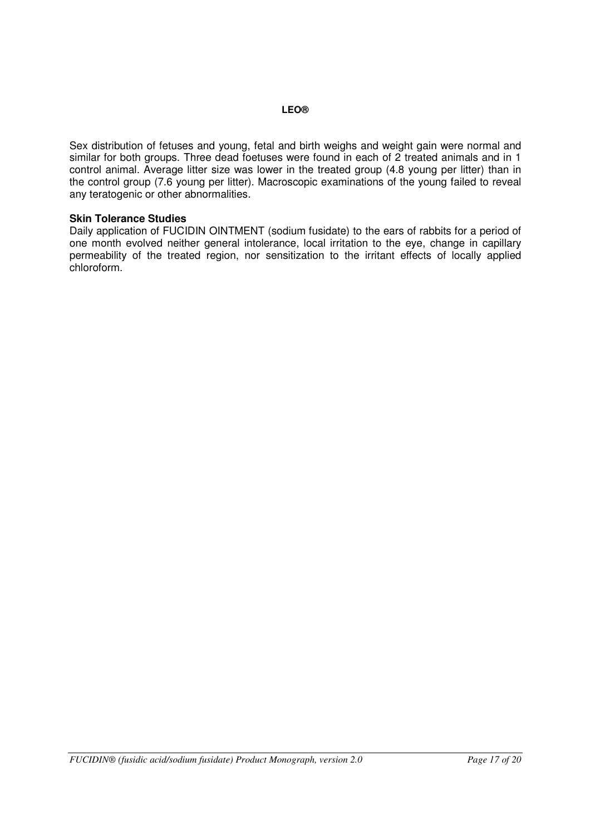Sex distribution of fetuses and young, fetal and birth weighs and weight gain were normal and similar for both groups. Three dead foetuses were found in each of 2 treated animals and in 1 control animal. Average litter size was lower in the treated group (4.8 young per litter) than in the control group (7.6 young per litter). Macroscopic examinations of the young failed to reveal any teratogenic or other abnormalities.

#### **Skin Tolerance Studies**

Daily application of FUCIDIN OINTMENT (sodium fusidate) to the ears of rabbits for a period of one month evolved neither general intolerance, local irritation to the eye, change in capillary permeability of the treated region, nor sensitization to the irritant effects of locally applied chloroform.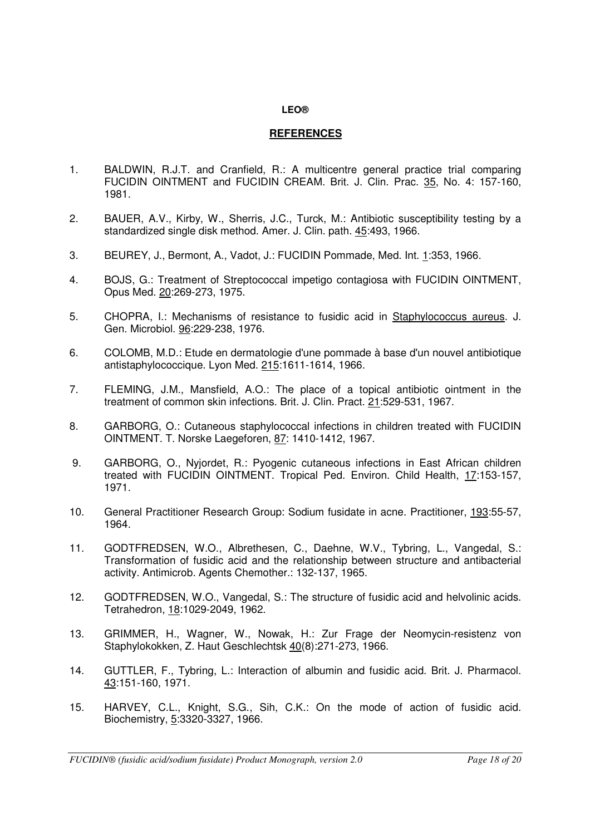# <span id="page-17-0"></span>**REFERENCES**

- 1. BALDWIN, R.J.T. and Cranfield, R.: A multicentre general practice trial comparing FUCIDIN OINTMENT and FUCIDIN CREAM. Brit. J. Clin. Prac. 35, No. 4: 157-160, 1981.
- 2. BAUER, A.V., Kirby, W., Sherris, J.C., Turck, M.: Antibiotic susceptibility testing by a standardized single disk method. Amer. J. Clin. path. 45:493, 1966.
- 3. BEUREY, J., Bermont, A., Vadot, J.: FUCIDIN Pommade, Med. Int. 1:353, 1966.
- 4. BOJS, G.: Treatment of Streptococcal impetigo contagiosa with FUCIDIN OINTMENT, Opus Med. 20:269-273, 1975.
- 5. CHOPRA, I.: Mechanisms of resistance to fusidic acid in Staphylococcus aureus. J. Gen. Microbiol. 96:229-238, 1976.
- 6. COLOMB, M.D.: Etude en dermatologie d'une pommade à base d'un nouvel antibiotique antistaphylococcique. Lyon Med. 215:1611-1614, 1966.
- 7. FLEMING, J.M., Mansfield, A.O.: The place of a topical antibiotic ointment in the treatment of common skin infections. Brit. J. Clin. Pract. 21:529-531, 1967.
- 8. GARBORG, O.: Cutaneous staphylococcal infections in children treated with FUCIDIN OINTMENT. T. Norske Laegeforen, 87: 1410-1412, 1967.
- 9. GARBORG, O., Nyjordet, R.: Pyogenic cutaneous infections in East African children treated with FUCIDIN OINTMENT. Tropical Ped. Environ. Child Health, 17:153-157, 1971.
- 10. General Practitioner Research Group: Sodium fusidate in acne. Practitioner, 193:55-57, 1964.
- 11. GODTFREDSEN, W.O., Albrethesen, C., Daehne, W.V., Tybring, L., Vangedal, S.: Transformation of fusidic acid and the relationship between structure and antibacterial activity. Antimicrob. Agents Chemother.: 132-137, 1965.
- 12. GODTFREDSEN, W.O., Vangedal, S.: The structure of fusidic acid and helvolinic acids. Tetrahedron, 18:1029-2049, 1962.
- 13. GRIMMER, H., Wagner, W., Nowak, H.: Zur Frage der Neomycin-resistenz von Staphylokokken, Z. Haut Geschlechtsk 40(8):271-273, 1966.
- 14. GUTTLER, F., Tybring, L.: Interaction of albumin and fusidic acid. Brit. J. Pharmacol. 43:151-160, 1971.
- 15. HARVEY, C.L., Knight, S.G., Sih, C.K.: On the mode of action of fusidic acid. Biochemistry, 5:3320-3327, 1966.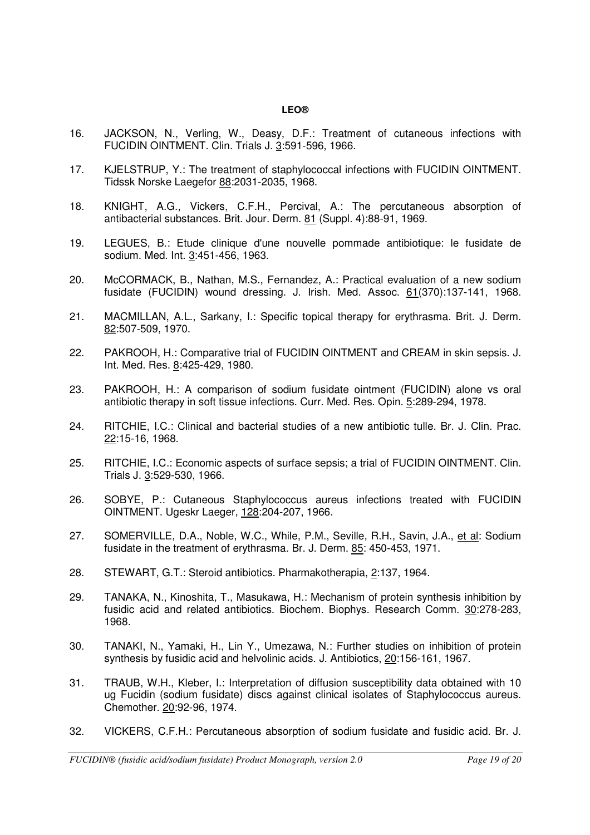- 16. JACKSON, N., Verling, W., Deasy, D.F.: Treatment of cutaneous infections with FUCIDIN OINTMENT. Clin. Trials J. 3:591-596, 1966.
- 17. KJELSTRUP, Y.: The treatment of staphylococcal infections with FUCIDIN OINTMENT. Tidssk Norske Laegefor 88:2031-2035, 1968.
- 18. KNIGHT, A.G., Vickers, C.F.H., Percival, A.: The percutaneous absorption of antibacterial substances. Brit. Jour. Derm. 81 (Suppl. 4):88-91, 1969.
- 19. LEGUES, B.: Etude clinique d'une nouvelle pommade antibiotique: le fusidate de sodium. Med. Int. 3:451-456, 1963.
- 20. McCORMACK, B., Nathan, M.S., Fernandez, A.: Practical evaluation of a new sodium fusidate (FUCIDIN) wound dressing. J. Irish. Med. Assoc. 61(370):137-141, 1968.
- 21. MACMILLAN, A.L., Sarkany, I.: Specific topical therapy for erythrasma. Brit. J. Derm. 82:507-509, 1970.
- 22. PAKROOH, H.: Comparative trial of FUCIDIN OINTMENT and CREAM in skin sepsis. J. Int. Med. Res. 8:425-429, 1980.
- 23. PAKROOH, H.: A comparison of sodium fusidate ointment (FUCIDIN) alone vs oral antibiotic therapy in soft tissue infections. Curr. Med. Res. Opin. 5:289-294, 1978.
- 24. RITCHIE, I.C.: Clinical and bacterial studies of a new antibiotic tulle. Br. J. Clin. Prac. 22:15-16, 1968.
- 25. RITCHIE, I.C.: Economic aspects of surface sepsis; a trial of FUCIDIN OINTMENT. Clin. Trials J. 3:529-530, 1966.
- 26. SOBYE, P.: Cutaneous Staphylococcus aureus infections treated with FUCIDIN OINTMENT. Ugeskr Laeger, 128:204-207, 1966.
- 27. SOMERVILLE, D.A., Noble, W.C., While, P.M., Seville, R.H., Savin, J.A., et al: Sodium fusidate in the treatment of erythrasma. Br. J. Derm. 85: 450-453, 1971.
- 28. STEWART, G.T.: Steroid antibiotics. Pharmakotherapia, 2:137, 1964.
- 29. TANAKA, N., Kinoshita, T., Masukawa, H.: Mechanism of protein synthesis inhibition by fusidic acid and related antibiotics. Biochem. Biophys. Research Comm. 30:278-283, 1968.
- 30. TANAKI, N., Yamaki, H., Lin Y., Umezawa, N.: Further studies on inhibition of protein synthesis by fusidic acid and helvolinic acids. J. Antibiotics, 20:156-161, 1967.
- 31. TRAUB, W.H., Kleber, I.: Interpretation of diffusion susceptibility data obtained with 10 ug Fucidin (sodium fusidate) discs against clinical isolates of Staphylococcus aureus. Chemother. 20:92-96, 1974.
- 32. VICKERS, C.F.H.: Percutaneous absorption of sodium fusidate and fusidic acid. Br. J.